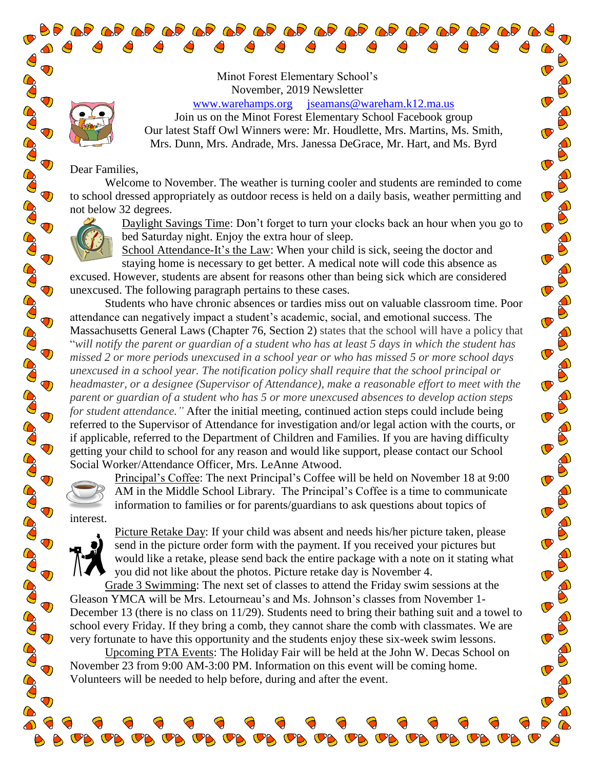Minot Forest Elementary School's November, 2019 Newsletter

[www.warehamps.org](http://www.warehamps.org/) [jseamans@wareham.k12.ma.us](mailto:jseamans@wareham.k12.ma.us)

Join us on the Minot Forest Elementary School Facebook group Our latest Staff Owl Winners were: Mr. Houdlette, Mrs. Martins, Ms. Smith, Mrs. Dunn, Mrs. Andrade, Mrs. Janessa DeGrace, Mr. Hart, and Ms. Byrd

 $\mathbf \sigma$ 

 $\bullet$ 

Dear Families,

 $\spadesuit$  $\bigcirc$  $\bigcirc$ 

 $\mathbf{\mathcal{D}}$ 

 $\ddot{\textbf{O}}$ 

 $\bigcirc$ 

 $\ddot{\mathbf{v}}$ 

**PORT** 

COO

**POST** 

**POP** 

**BO** 

**PORT** 

 $\ddot{\mathbf{U}}$ 

COCO

**POP** 

**BOO** 

**BOO** 

 $\bigcirc$ 

 $\ddot{\mathbf{C}}$ 

 $\bigcirc$ 

**PAD** 

**CO** 

CO

Co

60

Welcome to November. The weather is turning cooler and students are reminded to come to school dressed appropriately as outdoor recess is held on a daily basis, weather permitting and not below 32 degrees.



Daylight Savings Time: Don't forget to turn your clocks back an hour when you go to bed Saturday night. Enjoy the extra hour of sleep.

School Attendance-It's the Law: When your child is sick, seeing the doctor and staying home is necessary to get better. A medical note will code this absence as

excused. However, students are absent for reasons other than being sick which are considered unexcused. The following paragraph pertains to these cases.

Students who have chronic absences or tardies miss out on valuable classroom time. Poor attendance can negatively impact a student's academic, social, and emotional success. The Massachusetts General Laws (Chapter 76, Section 2) states that the school will have a policy that "*will notify the parent or guardian of a student who has at least 5 days in which the student has missed 2 or more periods unexcused in a school year or who has missed 5 or more school days unexcused in a school year. The notification policy shall require that the school principal or headmaster, or a designee (Supervisor of Attendance), make a reasonable effort to meet with the parent or guardian of a student who has 5 or more unexcused absences to develop action steps for student attendance."* After the initial meeting, continued action steps could include being referred to the Supervisor of Attendance for investigation and/or legal action with the courts, or if applicable, referred to the Department of Children and Families. If you are having difficulty getting your child to school for any reason and would like support, please contact our School Social Worker/Attendance Officer, Mrs. LeAnne Atwood.



interest.

Principal's Coffee: The next Principal's Coffee will be held on November 18 at 9:00 AM in the Middle School Library. The Principal's Coffee is a time to communicate information to families or for parents/guardians to ask questions about topics of

**OB OB OB** 

Picture Retake Day: If your child was absent and needs his/her picture taken, please send in the picture order form with the payment. If you received your pictures but would like a retake, please send back the entire package with a note on it stating what you did not like about the photos. Picture retake day is November 4.

Grade 3 Swimming: The next set of classes to attend the Friday swim sessions at the Gleason YMCA will be Mrs. Letourneau's and Ms. Johnson's classes from November 1- December 13 (there is no class on 11/29). Students need to bring their bathing suit and a towel to school every Friday. If they bring a comb, they cannot share the comb with classmates. We are very fortunate to have this opportunity and the students enjoy these six-week swim lessons.

Upcoming PTA Events: The Holiday Fair will be held at the John W. Decas School on November 23 from 9:00 AM-3:00 PM. Information on this event will be coming home. Volunteers will be needed to help before, during and after the event.

 $\sigma_{\beta}$ ,  $\sigma_{\beta}$ ,  $\sigma_{\beta}$ ,  $\sigma_{\beta}$ ,  $\sigma_{\beta}$ ,  $\sigma_{\beta}$ ,  $\sigma_{\beta}$ ,  $\sigma_{\beta}$ ,  $\sigma_{\beta}$